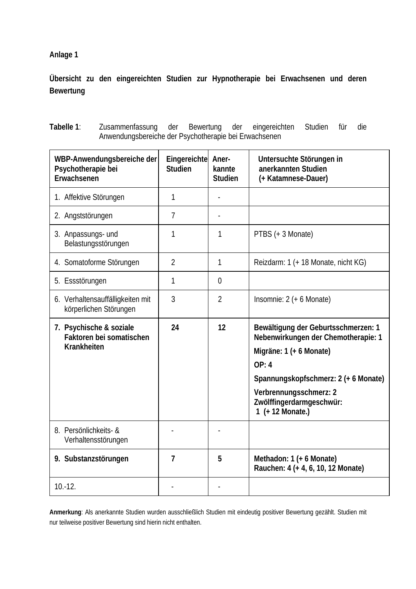**Anlage 1** 

**Übersicht zu den eingereichten Studien zur Hypnotherapie bei Erwachsenen und deren Bewertung** 

| WBP-Anwendungsbereiche der<br>Psychotherapie bei<br>Erwachsenen | Eingereichte<br><b>Studien</b> | Aner-<br>kannte<br><b>Studien</b> | Untersuchte Störungen in<br>anerkannten Studien<br>(+ Katamnese-Dauer)     |
|-----------------------------------------------------------------|--------------------------------|-----------------------------------|----------------------------------------------------------------------------|
| 1. Affektive Störungen                                          | 1                              |                                   |                                                                            |
| 2. Angststörungen                                               | 7                              |                                   |                                                                            |
| 3. Anpassungs- und<br>Belastungsstörungen                       | 1                              | 1                                 | PTBS (+ 3 Monate)                                                          |
| 4. Somatoforme Störungen                                        | $\overline{2}$                 | 1                                 | Reizdarm: 1 (+ 18 Monate, nicht KG)                                        |
| 5. Essstörungen                                                 | 1                              | $\overline{0}$                    |                                                                            |
| 6. Verhaltensauffälligkeiten mit<br>körperlichen Störungen      | 3                              | $\overline{2}$                    | Insomnie: $2 (+ 6$ Monate)                                                 |
| 7. Psychische & soziale<br>Faktoren bei somatischen             | 24                             | 12                                | Bewältigung der Geburtsschmerzen: 1<br>Nebenwirkungen der Chemotherapie: 1 |
| Krankheiten                                                     |                                |                                   | Migräne: 1 (+ 6 Monate)                                                    |
|                                                                 |                                |                                   | OP: 4                                                                      |
|                                                                 |                                |                                   | Spannungskopfschmerz: 2 (+ 6 Monate)                                       |
|                                                                 |                                |                                   | Verbrennungsschmerz: 2<br>Zwölffingerdarmgeschwür:<br>1 (+ 12 Monate.)     |
| 8. Persönlichkeits- &<br>Verhaltensstörungen                    |                                |                                   |                                                                            |
| 9. Substanzstörungen                                            | $\overline{7}$                 | 5                                 | Methadon: 1 (+ 6 Monate)<br>Rauchen: 4 (+ 4, 6, 10, 12 Monate)             |
| $10.-12.$                                                       |                                |                                   |                                                                            |

**Tabelle 1**: Zusammenfassung der Bewertung der eingereichten Studien für die Anwendungsbereiche der Psychotherapie bei Erwachsenen

**Anmerkung**: Als anerkannte Studien wurden ausschließlich Studien mit eindeutig positiver Bewertung gezählt. Studien mit nur teilweise positiver Bewertung sind hierin nicht enthalten.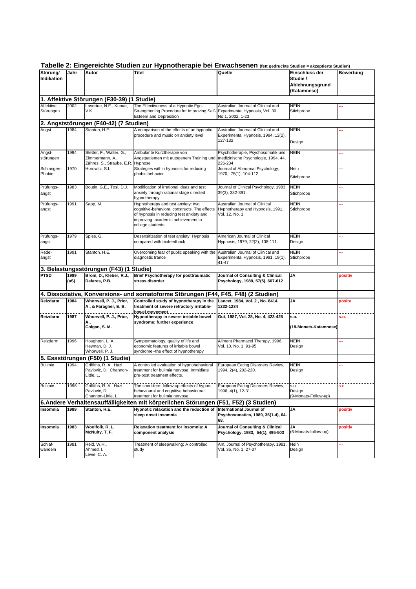| Störung/<br>Indikation                     | Jahr         | Autor                                                          | Titel                                                                                                                                                                                   | Quelle                                                                                    | Einschluss der<br>Studie /<br>Ablehnungsgrund<br>(Katamnese) | <b>Bewertung</b> |
|--------------------------------------------|--------------|----------------------------------------------------------------|-----------------------------------------------------------------------------------------------------------------------------------------------------------------------------------------|-------------------------------------------------------------------------------------------|--------------------------------------------------------------|------------------|
| 1. Affektive Störungen (F30-39) (1 Studie) |              |                                                                |                                                                                                                                                                                         |                                                                                           |                                                              |                  |
| Affektive<br>Störungen                     | 2002         | Lavertue, N.E., Kumar,<br>V.K.                                 | The Effectiveness of a Hypnotic Ego-<br>Strengthening Procedure for Improving Self<br><b>Esteem and Depression</b>                                                                      | Australian Journal of Clinical and<br>Experimental Hypnosis, Vol. 30,<br>No.1, 2002, 1-23 | <b>NEIN</b><br>Stichprobe                                    |                  |
|                                            |              | 2. Angststörungen (F40-42) (7 Studien)                         |                                                                                                                                                                                         |                                                                                           |                                                              |                  |
| Angst                                      | 1984         | Stanton, H.E.                                                  | A comparison of the effects of an hypnotic<br>procedure and music on anxiety level                                                                                                      | Australian Journal of Clinical and<br>Experimental Hypnosis, 1984, 12(2),<br>127-132      | <b>NEIN</b><br>Design                                        |                  |
| Angst-<br>störungen                        | 1994         | Stetter, F., Walter, G.,<br>Zimmermann, A.,                    | Ambulante Kurztherapie von<br>Angstpatienten mit autogenem Training und                                                                                                                 | Psychotherapie, Psychosomatik und<br>medizinische Psychologie, 1994, 44,                  | <b>NEIN</b>                                                  |                  |
| Schlangen-<br>Phobie                       | 1970         | Zähres, S., Straube, E.R.<br>Horowitz, S.L.                    | Hypnose<br>Strategies within hypnosis for reducing<br>phobic behavior                                                                                                                   | 226-234<br>Journal of Abnormal Psychology,<br>1970, 75(1), 104-112                        | Nein<br>Stichprobe                                           |                  |
| Prüfungs-<br>angst                         | 1983         | Boutin, G.E., Tosi, D.J.                                       | Modification of irrational ideas and test<br>anxiety through rational stage directed<br>hypnotherapy                                                                                    | Journal of Clinical Psychology, 1983,<br>39(3), 382-391.                                  | <b>NEIN</b><br>Stichprobe                                    |                  |
| Prüfungs-<br>angst                         | 1991         | Sapp, M.                                                       | Hypnotherapy and test anxiety: two<br>cognitive-behavioral constructs. The effects<br>of hypnosis in reducing test anxiety and<br>improving academic achievement in<br>college students | Australian Journal of Clinical<br>Hypnotherapy and Hypnosis, 1991,<br>Vol. 12, No. 1      | <b>NEIN</b><br>Stichprobe                                    |                  |
| Prüfungs-<br>angst                         | 1979         | Spies, G.                                                      | Desensitization of test anxiety: Hypnosis<br>compared with biofeedback                                                                                                                  | American Journal of Clinical<br>Hypnosis, 1979, 22(2), 108-111.                           | <b>NEIN</b><br>Design                                        |                  |
| Rede-<br>angst                             | 1991         | Stanton, H.E.                                                  | Overcoming fear of public speaking with the<br>diagnostic trance                                                                                                                        | Australian Journal of Clinical and<br>Experimental Hypnosis, 1991, 19(1),<br>41-47        | <b>NEIN</b><br>Stichprobe                                    |                  |
|                                            |              | 3. Belastungsstörungen (F43) (1 Studie)                        |                                                                                                                                                                                         |                                                                                           |                                                              |                  |
| <b>PTSD</b>                                | 1989<br>(aS) | Brom, D., Kleber, R.J.,<br>Defares, P.B.                       | <b>Brief Psychotherapy for posttraumatic</b><br>stress disorder                                                                                                                         | Journal of Consulting & Clinical<br>Psychology, 1989, 57(5), 607-612                      | <b>JA</b>                                                    | positiv          |
|                                            |              |                                                                | 4. Dissoziative, Konversions- und somatoforme Störungen (F44, F45, F48) (2 Studien)                                                                                                     |                                                                                           |                                                              |                  |
| Reizdarm                                   | 1984         | Whorwell, P. J., Prior,<br>A., & Faragher, E. B.               | Controlled study of hypnotherapy in the<br>treatment of severe refractory irritable-                                                                                                    | Lancet, 1984, Vol. 2, No. 8414,<br>1232-1234                                              | <b>JA</b>                                                    | positv           |
| Reizdarm                                   | 1987         | Whorwell, P. J., Prior,<br>A.,<br>Colgan, S. M.                | bowel movement<br>Hypnotherapy in severe irritable bowel<br>syndrome: further experience                                                                                                | Gut, 1987, Vol. 28, No. 4, 423-425                                                        | <b>s.o.</b><br>(18-Monats-Katamnese)                         | s.o.             |
| Reizdarm                                   | 1996         | Houghton, L. A.<br>Hevman, D. J.<br>Whorwell, P. J.            | Symptomatology, quality of life and<br>economic features of irritable bowel<br>syndrome--the effect of hypnotherapy                                                                     | Aliment Pharmacol Therapy, 1996,<br>Vol. 10. No. 1. 91-95                                 | <b>NEIN</b><br>Design                                        |                  |
| 5. Essstörungen (F50) (1 Studie)           |              |                                                                |                                                                                                                                                                                         |                                                                                           |                                                              |                  |
| <b>Bulimie</b>                             | 1994         | Griffiths, R. A., Hazi<br>Pavlovic, D., Channon-<br>Little, L. | A controlled evaluation of hypnobehavioral<br>treatment for bulimia nervosa: Immidiate<br>pre-post treatment effects.                                                                   | European Eating Disorders Review,<br>1994, 2(4), 202-220.                                 | <b>NEIN</b><br>Design                                        |                  |
| <b>Bulimie</b>                             | 1996         | Griffiths, R. A., Hazi<br>Pavlovic, D.,<br>Channon-Little, L   | The short-term follow-up effects of hypno-<br>behavioural and cognitive behavioural<br>treatment for bulimia nervosa.                                                                   | European Eating Disorders Review,<br>1996, 4(1), 12-31.                                   | S.O.<br>Design<br>(9-Monats-Follow-up)                       | S.O.             |
|                                            |              |                                                                | 6. Andere Verhaltensauffälligkeiten mit körperlichen Störungen                                                                                                                          | (F51, F52) (3 Studien)                                                                    |                                                              |                  |
| Insomnia                                   | 1989         | Stanton, H.E.                                                  | Hypnotic relaxation and the reduction of<br>sleep onset insomnia                                                                                                                        | International Journal of<br>Psychosomatics, 1989, 36(1-4), 64-<br>68.                     | <b>JA</b>                                                    | positiv          |
| Insomnia                                   | 1983         | Woolfolk, R. L.<br>McNulty, T. F.                              | Relaxation treatment for insomnia: A<br>component analysis                                                                                                                              | Journal of Consulting & Clinical<br>Psychology, 1983, 54(1), 495-503                      | JA<br>(6-Monats-follow-up)                                   | positiv          |
| Schlaf-<br>wandeln                         | 1981         | Reid, W.H.,<br>Ahmed, I.<br>Levie, C. A.                       | Treatment of sleepwalking: A controlled<br>study                                                                                                                                        | Am. Journal of Psychotherapy, 1981.<br>Vol. 35, No. 1, 27-37                              | Nein<br>Design                                               |                  |

|  | Tabelle 2: Eingereichte Studien zur Hypnotherapie bei Erwachsenen (fett gedruckte Studien = akzeptierte Studien) |
|--|------------------------------------------------------------------------------------------------------------------|
|--|------------------------------------------------------------------------------------------------------------------|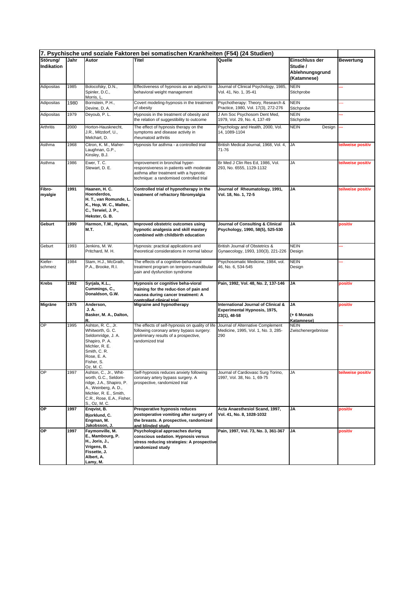|                        | 7. Psychische und soziale Faktoren bei somatischen Krankheiten (F54) (24 Studien) |                                                                                                                                                                            |                                                                                                                                                                   |                                                                                     |                                                              |                   |
|------------------------|-----------------------------------------------------------------------------------|----------------------------------------------------------------------------------------------------------------------------------------------------------------------------|-------------------------------------------------------------------------------------------------------------------------------------------------------------------|-------------------------------------------------------------------------------------|--------------------------------------------------------------|-------------------|
| Störung/<br>Indikation | Jahr                                                                              | Autor                                                                                                                                                                      | Titel                                                                                                                                                             | Quelle                                                                              | Einschluss der<br>Studie /<br>Ablehnungsgrund<br>(Katamnese) | <b>Bewertung</b>  |
| Adipositas             | 1985                                                                              | Bolocofsky, D.N.,<br>Spinler, D.C.,<br>Morris, L.                                                                                                                          | Effectiveness of hypnosis as an adjunct to<br>behavioral weight management                                                                                        | Journal of Clinical Psychology, 1985,<br>Vol. 41, No. 1, 35-41                      | <b>NEIN</b><br>Stichprobe                                    |                   |
| Adipositas             | 1980                                                                              | Bornstein, P.H.,<br>Devine, D. A.                                                                                                                                          | Covert modeling-hypnosis in the treatment<br>of obesity                                                                                                           | Psychotherapy: Theory, Research &<br>Practice, 1980, Vol. 17(3), 272-276            | <b>NEIN</b><br>Stichprobe                                    |                   |
| Adipositas             | 1979                                                                              | Deyoub, P. L.                                                                                                                                                              | Hypnosis in the treatment of obesity and<br>the relation of suggestibility to outcome                                                                             | J Am Soc Psychosom Dent Med,<br>1979, Vol. 29, No. 4, 137-49                        | <b>NEIN</b><br>Stichprobe                                    |                   |
| Arthritis              | 2000                                                                              | Horton-Hausknecht,<br>J.R., Mitzdorf, U.,<br>Melchart, D.                                                                                                                  | The effect of hypnosis therapy on the<br>symptoms and disease activity in<br>rheumatoid arthritis                                                                 | Psychology and Health, 2000, Vol.<br>14, 1089-1104                                  | <b>NEIN</b><br>Design                                        |                   |
| Asthma                 | 1968                                                                              | Citron, K. M., Maher-<br>Laughnan, G.P.,<br>Kinsley, B.J.                                                                                                                  | Hypnosis for asthma - a controlled trial                                                                                                                          | British Medical Journal, 1968, Vol. 4,<br>71-76                                     | <b>JA</b>                                                    | teilweise positiv |
| Asthma                 | 1986                                                                              | Ewer, T. C.<br>Stewart, D. E.                                                                                                                                              | Improvement in bronchial hyper-<br>responsiveness in patients with moderate<br>asthma after treatment with a hypnotic<br>technique: a randomised controlled trial | Br Med J Clin Res Ed, 1986, Vol.<br>293, No. 6555, 1129-1132                        | JA                                                           | teilweise positiv |
| Fibro-<br>myalgie      | 1991                                                                              | Haanen, H. C.<br>Hoenderdos.<br>H. T., van Romunde, L.<br>K., Hop, W. C., Mallee,<br>C., Terwiel, J. P.,<br>Hekster, G. B.                                                 | Controlled trial of hypnotherapy in the<br>treatment of refractory fibromyalgia                                                                                   | Journal of Rheumatology, 1991,<br>Vol. 18, No. 1, 72-5                              | JA                                                           | teilweise positiv |
| Geburt                 | 1990                                                                              | Harmon, T.M., Hynan,<br>М.Т.                                                                                                                                               | Improved obstetric outcomes using<br>hypnotic analgesia and skill mastery<br>combined with childbirth education                                                   | Journal of Consulting & Clinical<br>Psychology, 1990, 58(5), 525-530                | JA                                                           | positiv           |
| Geburt                 | 1993                                                                              | Jenkins, M. W.<br>Pritchard, M. H.                                                                                                                                         | Hypnosis: practical applications and<br>theoretical considerations in normal labour                                                                               | British Journal of Obstetrics &<br>Gynaecology, 1993, 100(3), 221-226               | <b>NEIN</b><br>Design                                        |                   |
| Kiefer-<br>schmerz     | 1984                                                                              | Stam, H.J., McGrath,<br>P.A., Brooke, R.I.                                                                                                                                 | The effects of a cognitive-behavioral<br>treatment program on temporo-mandibular<br>pain and dysfunction syndrome                                                 | Psychosomatic Medicine, 1984, vol.<br>46, No. 6, 534-545                            | <b>NEIN</b><br>Design                                        |                   |
| Krebs                  | 1992                                                                              | Syrjala, K.L.,<br>Cummings, C.,<br>Donaldson, G.W.                                                                                                                         | Hypnosis or cognitive beha-vioral<br>training for the reduc-tion of pain and<br>nausea during cancer treatment: A<br>controlled clinical trial                    | Pain, 1992, Vol. 48, No. 2, 137-146                                                 | JA                                                           | positiv           |
| Migräne                | 1975                                                                              | Anderson,<br>J. A.<br>Basker, M. A., Dalton,<br>R.                                                                                                                         | Migraine and hypnotherapy                                                                                                                                         | International Journal of Clinical &<br>Experimental Hypnosis, 1975,<br>23(1), 48-58 | JA<br>(+ 6 Monats<br>Katamnese)                              | positiv           |
| OP                     | 1995                                                                              | Ashton, R. C., Jr.<br>Whitworth, G. C.<br>Seldomridge, J. A.<br>Shapiro, P. A.<br>Michler, R. E.<br>Smith, C. R.<br>Rose, E.A.<br>Fisher, S.<br>Oz, M. C.                  | The effects of self-hypnosis on quality of life<br>following coronary artery bypass surgery:<br>preliminary results of a prospective,<br>randomized trial         | Journal of Alternative Complement<br>Medicine, 1995, Vol. 1, No. 3, 285-<br>290     | NEIN<br>Zwischenergebnisse                                   |                   |
| OP                     | 1997                                                                              | Ashton, C., Jr., Whit-<br>worth, G.C., Seldom-<br>ridge, J.A., Shapiro, P.<br>A., Weinberg, A. D.,<br>Michler, R. E., Smith,<br>C.R., Rose, E.A., Fisher,<br>S., Oz, M. C. | Self-hypnosis reduces anxiety following<br>coronary artery bypass surgery. A<br>prospective, randomized trial                                                     | Journal of Cardiovasc Surg Torino,<br>1997, Vol. 38, No. 1, 69-75                   | JA                                                           | teilweise positiv |
| OP                     | 1997                                                                              | Enqvist, B.<br>Bjorklund, C.<br>Engman, M.<br>Jakobsson, J.                                                                                                                | Preoperative hypnosis reduces<br>postoperative vomiting after surgery of<br>the breasts. A prospective, randomized<br>and blinded studv                           | Acta Anaesthesiol Scand, 1997,<br>Vol. 41, No. 8, 1028-1032                         | JA                                                           | positiv           |
| ОP                     | 1997                                                                              | Faymonville, M.<br>E., Mambourg, P.<br>H., Joris, J.,<br>Vrigens, B.<br>Fissette, J.<br>Albert, A.<br>Lamy, M.                                                             | Psychological approaches during<br>conscious sedation. Hypnosis versus<br>stress reducing strategies: A prospective<br>randomized study                           | Pain, 1997, Vol. 73, No. 3, 361-367                                                 | JA                                                           | positiv           |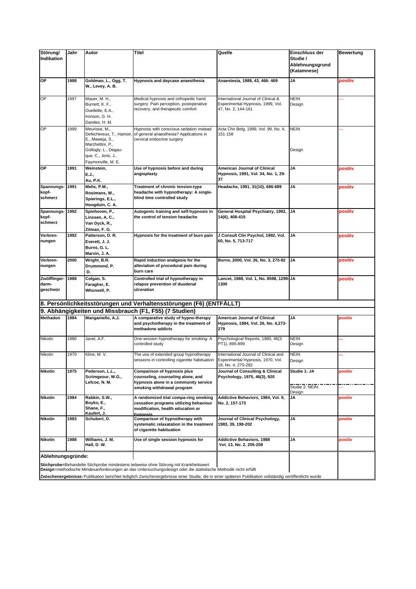| Störung/<br>Indikation            | Jahr | Autor                                                                                                                                                 | Titel                                                                                                                                                                                                                                                                                                                                                              | Quelle                                                                                           | Einschluss der<br>Studie /<br>Ablehnungsgrund<br>(Katamnese) | <b>Bewertung</b> |
|-----------------------------------|------|-------------------------------------------------------------------------------------------------------------------------------------------------------|--------------------------------------------------------------------------------------------------------------------------------------------------------------------------------------------------------------------------------------------------------------------------------------------------------------------------------------------------------------------|--------------------------------------------------------------------------------------------------|--------------------------------------------------------------|------------------|
| ОP                                | 1988 | Goldman, L., Ogg, T.<br>W., Levey, A. B.                                                                                                              | Hypnosis and daycase anaesthesia                                                                                                                                                                                                                                                                                                                                   | Anaestesia, 1988, 43, 466-469                                                                    | JA                                                           | positiv          |
| e                                 | 1997 | Mauer, M. H.,<br>Burnett, K. F.,<br>Ouellette, E.A.,<br>Ironson, G. H.<br>Dandes, H. M.                                                               | Medical hypnosis and orthopedic hand<br>surgery: Pain perception, postoperative<br>recovery, and therapeutic comfort                                                                                                                                                                                                                                               | International Journal of Clinical &<br>Experimental Hypnosis, 1999, Vol.<br>47, No. 2, 144-161   | <b>NEIN</b><br>Design                                        |                  |
| OP                                | 1999 | Meurisse, M.,<br>Defechereux, T., Hamoir,<br>E., Maweja, S.,<br>Marchettini, P.,<br>Gollogly, L., Degau-<br>que, C., Joris, J.,<br>Faymonville, M. E. | Hypnosis with conscious sedation instead<br>of general anaesthesia? Applications in<br>cervical endocrine surgery                                                                                                                                                                                                                                                  | Acta Chir Belg, 1999, Vol. 99, No. 4,<br>151-158                                                 | <b>NEIN</b><br>Design                                        | ۵.               |
| ОP                                | 1991 | Weinstein,<br>E.J.,<br>Au, P.K.                                                                                                                       | Use of hypnosis before and during<br>angioplasty                                                                                                                                                                                                                                                                                                                   | <b>American Journal of Clinical</b><br>Hypnosis, 1991, Vol. 34, No. 1, 29-<br>37                 | JA                                                           | positiv          |
| Spannungs-<br>kopf-<br>schmerz    | 1991 | Melis, P.M.,<br>Rooimans, W.,<br>Spierings, E.L.,<br>Hoogduin, C. A.                                                                                  | Treatment of chronic tension-type<br>headache with hypnotherapy: A single-<br>blind time controlled study                                                                                                                                                                                                                                                          | Headache, 1991, 31(10), 686-689                                                                  | <b>JA</b>                                                    | positiv          |
| Spannungs-<br>kopf-<br>schmerz    | 1992 | Spinhoven, P.,<br>Linssen, A. C.,<br>Van Dyck, R.,<br>Zitman, F. G.                                                                                   | Autogenic training and self-hypnosis in<br>the control of tension headache                                                                                                                                                                                                                                                                                         | General Hospital Psychiatry, 1992, JA<br>14(6), 408-415                                          |                                                              | positiv          |
| Verbren-<br>nungen                | 1992 | Patterson, D. R.<br>Everett, J. J.<br>Burns, G. L.<br>Marvin, J. A.                                                                                   | Hypnosis for the treatment of burn pain                                                                                                                                                                                                                                                                                                                            | J Consult Clin Psychol, 1992, Vol.<br>60, No. 5, 713-717                                         | <b>JA</b>                                                    | positiv          |
| Verbren-<br>nungen                | 2000 | Wright, B.R.<br>Drummond, P.<br>D.                                                                                                                    | Rapid induction analgesia for the<br>alleviation of procedural pain during<br>burn care                                                                                                                                                                                                                                                                            | Burns, 2000, Vol. 26, No. 3, 275-82                                                              | IJΑ                                                          | positiv          |
| Zwölffinger-<br>darm-<br>geschwür | 1988 | Colgan, S.<br>Faragher, E.<br>Whorwell, P.                                                                                                            | Controlled trial of hypnotherapy in<br>relapse prevention of duodenal<br>ulceration                                                                                                                                                                                                                                                                                | Lancet, 1988, Vol. 1, No. 8598, 1299-JA<br>1300                                                  |                                                              | positiv          |
|                                   |      |                                                                                                                                                       | 8. Persönlichkeitsstörungen und Verhaltensstörungen (F6) (ENTFÄLLT)                                                                                                                                                                                                                                                                                                |                                                                                                  |                                                              |                  |
|                                   |      |                                                                                                                                                       | 9. Abhängigkeiten und Missbrauch (F1, F55) (7 Studien)                                                                                                                                                                                                                                                                                                             |                                                                                                  |                                                              |                  |
| <b>Methadon</b>                   | 1984 | Manganiello, A.J.                                                                                                                                     | A comparative study of hypno-therapy<br>and psychotherapy in the treatment of<br>methadone addicts                                                                                                                                                                                                                                                                 | American Journal of Clinical<br>Hypnosis, 1984, Vol. 26, No. 4,273-<br>279                       | <b>JA</b>                                                    | positiv          |
| Nikotin                           | 1980 | Javel, A.F.                                                                                                                                           | One-session hypnotherapy for smoking: A<br>controlled study                                                                                                                                                                                                                                                                                                        | Psychological Reports, 1980, 46(3<br>PT1), 895-899                                               | <b>NEIN</b><br>Design                                        |                  |
| Nikotin                           | 1970 | Kline, M. V.                                                                                                                                          | The use of extended group hypnotherapy<br>sessions in controlling cigarette habituation                                                                                                                                                                                                                                                                            | International Journal of Clinical and<br>Experimental Hypnosis, 1970, Vol.<br>18, No. 4, 270-282 | <b>NEIN</b><br>Design                                        |                  |
| <b>Nikotin</b>                    | 1975 | Pederson, L.L.,<br>Scrimgeour, W.G.,<br>Lefcoe, N. M.                                                                                                 | <b>Comparison of hypnosis plus</b><br>counseling, counseling alone, and<br>hypnosis alone in a community service                                                                                                                                                                                                                                                   | Journal of Consulting & Clinical<br>Psychology, 1975, 46(3), 920                                 | Studie 1: JA<br>Studie 2: NEIN:                              | positiv          |
|                                   |      |                                                                                                                                                       | smoking withdrawal program                                                                                                                                                                                                                                                                                                                                         |                                                                                                  | Design                                                       |                  |
| <b>Nikotin</b>                    | 1984 | Rabkin, S.W.,<br>Boyko, E.,<br>Shane, F.,<br>Kaufert. J.                                                                                              | A randomized trial compa-ring smoking<br>cessation programs utilizing behaviour<br>modification, health education or<br>hvnnosis                                                                                                                                                                                                                                   | Addictive Behaviors, 1984, Vol. 9,<br>No. 2, 157-173                                             | JA                                                           | positiv          |
| <b>Nikotin</b>                    | 1983 | Schubert, D.                                                                                                                                          | Comparison of hypnotherapy with<br>systematic relaxatation in the treatment<br>of cigarette habituation                                                                                                                                                                                                                                                            | Journal of Clinical Psychology,<br>1983, 39, 198-202                                             | JA                                                           | positiv          |
| <b>Nikotin</b>                    | 1988 | Williams, J. M.<br>Hall, D. W.                                                                                                                        | Use of single session hypnosis for                                                                                                                                                                                                                                                                                                                                 | <b>Addictive Behaviors, 1988</b><br>Vol. 13, No. 2, 205-208                                      | JA                                                           | oositiv          |
| Ablehnungsgründe:                 |      |                                                                                                                                                       | Stichprobe=Behandelte Stichprobe mindestens teilweise ohne Störung mit Krankheitswert<br>Design=methodische Mindesanforderungen an das Untersuchungsdesign oder die statistische Methodik nicht erfüllt<br>Zwischenergebnisse: Publikation berichtet lediglich Zwischenergebnisse einer Studie, die in einer späteren Publikation vollständig veröffentlicht wurde |                                                                                                  |                                                              |                  |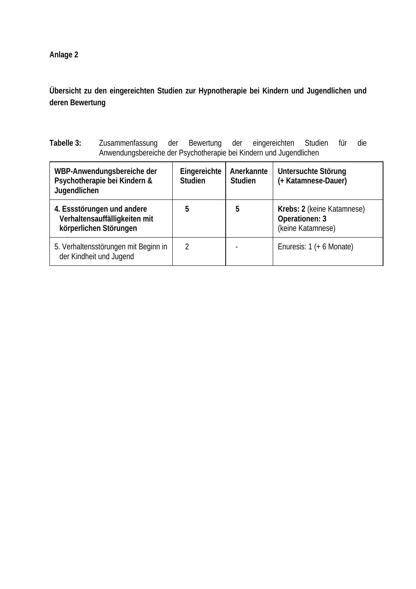**Übersicht zu den eingereichten Studien zur Hypnotherapie bei Kindern und Jugendlichen und deren Bewertung** 

**Tabelle 3:** Zusammenfassung der Bewertung der eingereichten Studien für die Anwendungsbereiche der Psychotherapie bei Kindern und Jugendlichen

| WBP-Anwendungsbereiche der<br>Psychotherapie bei Kindern &<br>Jugendlichen            | Eingereichte<br><b>Studien</b> | Anerkannte<br><b>Studien</b> | Untersuchte Störung<br>(+ Katamnese-Dauer)                        |
|---------------------------------------------------------------------------------------|--------------------------------|------------------------------|-------------------------------------------------------------------|
| 4. Essstörungen und andere<br>Verhaltensauffälligkeiten mit<br>körperlichen Störungen | 5                              | ხ                            | Krebs: 2 (keine Katamnese)<br>Operationen: 3<br>(keine Katamnese) |
| 5. Verhaltensstörungen mit Beginn in<br>der Kindheit und Jugend                       | 2                              |                              | Enuresis: 1 (+ 6 Monate)                                          |